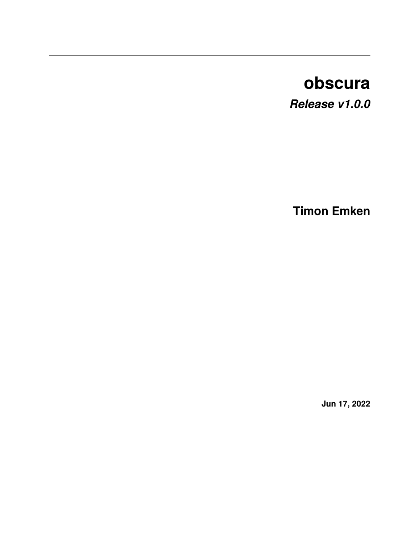# **obscura**

*Release v1.0.0*

**Timon Emken**

**Jun 17, 2022**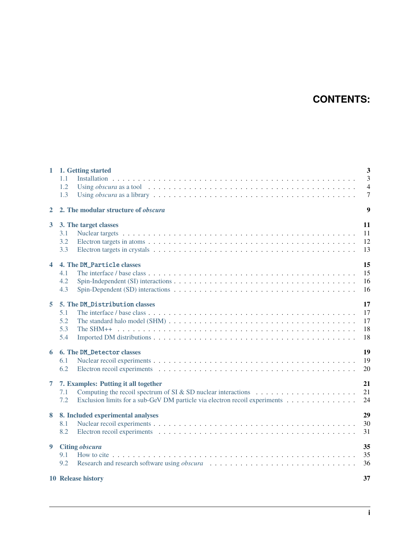## **CONTENTS:**

| 1                       | 1. Getting started<br>3                                                                                          |                |  |  |  |  |  |  |  |  |
|-------------------------|------------------------------------------------------------------------------------------------------------------|----------------|--|--|--|--|--|--|--|--|
|                         | 1.1                                                                                                              | $\overline{3}$ |  |  |  |  |  |  |  |  |
|                         | 1.2                                                                                                              | $\overline{4}$ |  |  |  |  |  |  |  |  |
|                         | 1.3                                                                                                              | $\overline{7}$ |  |  |  |  |  |  |  |  |
| $\mathbf{2}$            | 9<br>2. The modular structure of <i>obscura</i>                                                                  |                |  |  |  |  |  |  |  |  |
| $\mathbf{3}$            | 3. The target classes                                                                                            | 11             |  |  |  |  |  |  |  |  |
|                         | 3.1                                                                                                              | 11             |  |  |  |  |  |  |  |  |
|                         | 3.2                                                                                                              | 12             |  |  |  |  |  |  |  |  |
|                         | 3.3                                                                                                              | 13             |  |  |  |  |  |  |  |  |
| $\overline{\mathbf{4}}$ | 15<br>4. The DM_Particle classes                                                                                 |                |  |  |  |  |  |  |  |  |
|                         | 4.1                                                                                                              | 15             |  |  |  |  |  |  |  |  |
|                         | 4.2                                                                                                              | 16             |  |  |  |  |  |  |  |  |
|                         | 4.3                                                                                                              | 16             |  |  |  |  |  |  |  |  |
| 5                       | 5. The DM_Distribution classes                                                                                   | 17             |  |  |  |  |  |  |  |  |
|                         | 5.1                                                                                                              | 17             |  |  |  |  |  |  |  |  |
|                         | 5.2                                                                                                              | 17             |  |  |  |  |  |  |  |  |
|                         | 5.3                                                                                                              | 18             |  |  |  |  |  |  |  |  |
|                         | 5.4                                                                                                              | 18             |  |  |  |  |  |  |  |  |
| 6                       | 19<br>6. The DM_Detector classes                                                                                 |                |  |  |  |  |  |  |  |  |
|                         | 6.1                                                                                                              | 19             |  |  |  |  |  |  |  |  |
|                         | 6.2                                                                                                              | 20             |  |  |  |  |  |  |  |  |
| $\overline{7}$          | 7. Examples: Putting it all together                                                                             | 21             |  |  |  |  |  |  |  |  |
|                         | Computing the recoil spectrum of SI & SD nuclear interactions $\dots \dots \dots \dots \dots \dots \dots$<br>7.1 | 21             |  |  |  |  |  |  |  |  |
|                         | 7.2<br>Exclusion limits for a sub-GeV DM particle via electron recoil experiments                                | 24             |  |  |  |  |  |  |  |  |
| 8                       | 8. Included experimental analyses                                                                                | 29             |  |  |  |  |  |  |  |  |
|                         | 8.1                                                                                                              | 30             |  |  |  |  |  |  |  |  |
|                         | 8.2                                                                                                              | 31             |  |  |  |  |  |  |  |  |
| 9                       | Citing obscura                                                                                                   | 35             |  |  |  |  |  |  |  |  |
|                         | 9.1                                                                                                              | 35             |  |  |  |  |  |  |  |  |
|                         | 9.2<br>Research and research software using <i>obscura</i>                                                       | 36             |  |  |  |  |  |  |  |  |
|                         | 37<br><b>10 Release history</b>                                                                                  |                |  |  |  |  |  |  |  |  |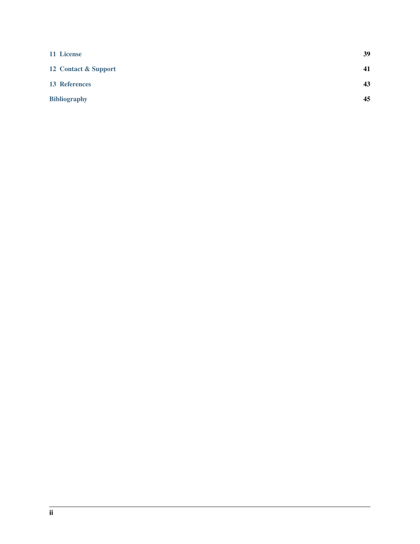| 11 License           | 39 |
|----------------------|----|
| 12 Contact & Support | 41 |
| 13 References        | 43 |
| <b>Bibliography</b>  | 45 |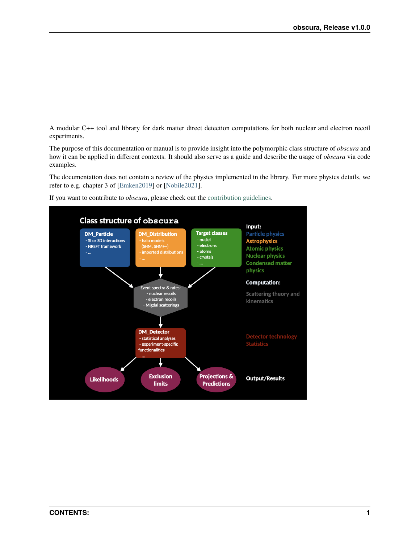A modular C++ tool and library for dark matter direct detection computations for both nuclear and electron recoil experiments.

The purpose of this documentation or manual is to provide insight into the polymorphic class structure of *obscura* and how it can be applied in different contexts. It should also serve as a guide and describe the usage of *obscura* via code examples.

The documentation does not contain a review of the physics implemented in the library. For more physics details, we refer to e.g. chapter 3 of [\[Emken2019\]](#page-48-1) or [\[Nobile2021\]](#page-48-2).



If you want to contribute to *obscura*, please check out the [contribution guidelines.](https://github.com/temken/obscura/blob/main/docs/CONTRIBUTING.md)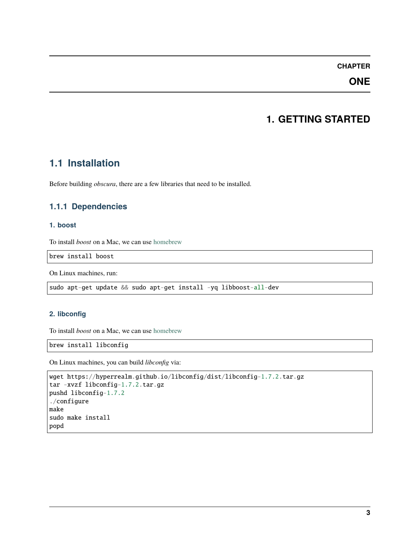### **ONE**

### **1. GETTING STARTED**

### <span id="page-6-1"></span><span id="page-6-0"></span>**1.1 Installation**

Before building *obscura*, there are a few libraries that need to be installed.

#### **1.1.1 Dependencies**

#### **1. boost**

To install *boost* on a Mac, we can use [homebrew](https://brew.sh/)

brew install boost

On Linux machines, run:

sudo apt-get update && sudo apt-get install -yq libboost-all-dev

#### **2. libconfig**

To install *boost* on a Mac, we can use [homebrew](https://brew.sh/)

brew install libconfig

On Linux machines, you can build *libconfig* via:

```
wget https://hyperrealm.github.io/libconfig/dist/libconfig-1.7.2.tar.gz
tar -xvzf libconfig-1.7.2.tar.gz
pushd libconfig-1.7.2
./configure
make
sudo make install
popd
```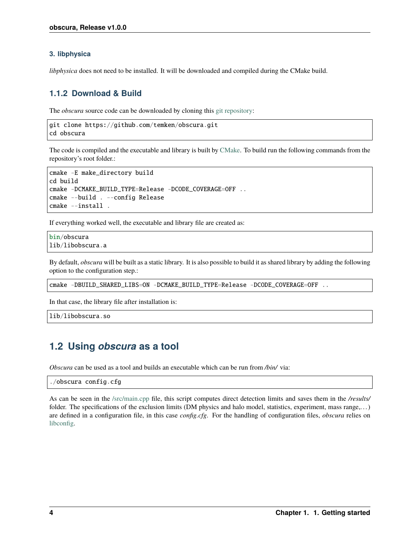#### **3. libphysica**

*libphysica* does not need to be installed. It will be downloaded and compiled during the CMake build.

#### **1.1.2 Download & Build**

The *obscura* source code can be downloaded by cloning this [git repository:](https://github.com/temken/obscura)

```
git clone https://github.com/temken/obscura.git
cd obscura
```
The code is compiled and the executable and library is built by [CMake.](https://cmake.org/) To build run the following commands from the repository's root folder.:

```
cmake -E make_directory build
cd build
cmake -DCMAKE_BUILD_TYPE=Release -DCODE_COVERAGE=OFF ..
cmake --build . --config Release
cmake --install .
```
If everything worked well, the executable and library file are created as:

```
bin/obscura
lib/libobscura.a
```
By default, *obscura* will be built as a static library. It is also possible to build it as shared library by adding the following option to the configuration step.:

```
cmake -DBUILD_SHARED_LIBS=ON -DCMAKE_BUILD_TYPE=Release -DCODE_COVERAGE=OFF ..
```
In that case, the library file after installation is:

lib/libobscura.so

### <span id="page-7-0"></span>**1.2 Using** *obscura* **as a tool**

*Obscura* can be used as a tool and builds an executable which can be run from */bin/* via:

./obscura config.cfg

As can be seen in the [/src/main.cpp](https://github.com/temken/obscura/blob/main/src/main.cpp) file, this script computes direct detection limits and saves them in the */results/* folder. The specifications of the exclusion limits (DM physics and halo model, statistics, experiment, mass range,...) are defined in a configuration file, in this case *config.cfg*. For the handling of configuration files, *obscura* relies on [libconfig.](https://hyperrealm.github.io/libconfig/)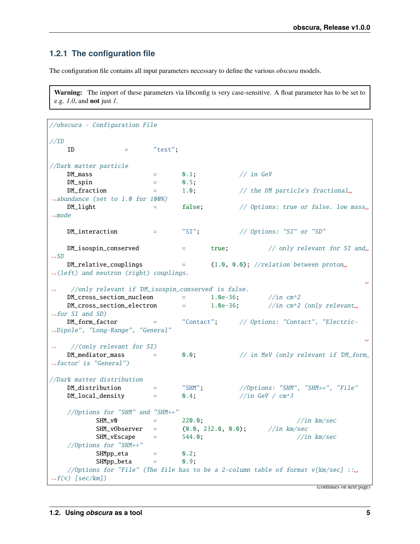### **1.2.1 The configuration file**

The configuration file contains all input parameters necessary to define the various *obscura* models.

**Warning:** The import of these parameters via libconfig is very case-sensitive. A float parameter has to be set to e.g. *1.0*, and **not** just *1*.

```
//obscura - Configuration File
//IDID = "test";
//Dark matter particle
   DM_mass = 0.1; // in GeVDM\_spin = 0.5;
   DM_{\text{r}} fraction = 1.0; \frac{1}{\sqrt{1}} the DM particle's fractional.
˓→abundance (set to 1.0 for 100%)
   DM\_light = false; // Options: true or false. low mass\_\rightarrowmode
   DM_interaction = "SI"; // Options: "SI" or "SD"
   DM_isospin_conserved = true; // only relevant for SI and
\rightarrowSD
   DM\_relative\_couplings = (1.0, 0.0); //relation between proton
\rightarrow(left) and neutron (right) couplings.
                                                                      ␣
    //only relevant if 'DM_isospin_conserved' is false.
   DM_cross_section_nucleon = 1.0e-36; //in cm^2DM\_cross\_section\_electron = 1.0e-36; //in cm^2 (only relevant...)
ightharpoonupfor SI and SD)
   DM_form_factor = "Contact"; // Options: "Contact", "Electric-
˓→Dipole", "Long-Range", "General"
                                                                      ␣
    // (only relevant for SI)DM\_mediator\_mass = 0.0; // in MeV (only relevant if 'DM_form_
˓→factor' is "General")
//Dark matter distribution
   DM_distribution = "SHM"; //Options: "SHM", "SHM++", "File"
   DM_local_density = 0.4; \frac{7}{\pi} GeV / cm^3
   //Options for "SHM" and "SHM++"
          SHM_v0 = 220.0; //in km/secSHM_vObserver = (0.0, 232.0, 0.0); //in km/sec
          SHM_VEScape = 544.0; //in km/sec//Options for "SHM++"
          SHMpp\_eta = 0.2;
          SHMpp\_beta = 0.9;
    //Options for "File" (The file has to be a 2-column table of format v[km/sec] ::␣
\rightarrowf(v) [sec/km])
```
(continues on next page)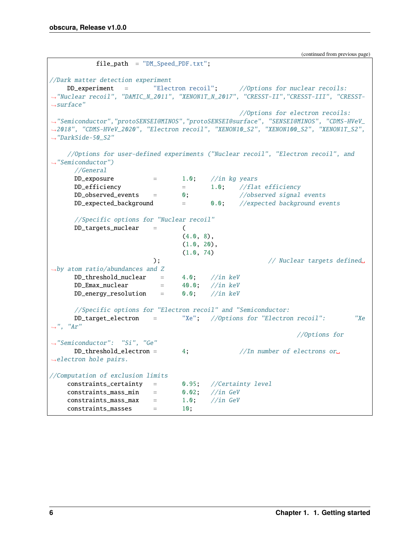(continued from previous page)

```
file_path = "DM_Speed_PDF.txt";
//Dark matter detection experiment
    DD_experiment = "Electron recoil"; //Options for nuclear recoils:
˓→"Nuclear recoil", "DAMIC_N_2011", "XENON1T_N_2017", "CRESST-II","CRESST-III", "CRESST-
\rightarrowsurface"
                                              //Options for electron recoils:
˓→"Semiconductor","protoSENSEI@MINOS","protoSENSEI@surface", "SENSEI@MINOS", "CDMS-HVeV_
˓→2018", "CDMS-HVeV_2020", "Electron recoil", "XENON10_S2", "XENON100_S2", "XENON1T_S2",
\rightarrow"DarkSide-50 S2"
    //Options for user-defined experiments ("Nuclear recoil", "Electron recoil", and
˓→"Semiconductor")
      //General
      DD_exposure = 1.0; //in kg years
      DD_efficiency = 1.0; //flat efficiency
      DD_observed_events = 0; //observed signal events
      DD_expected_background = 0.0; //expected background events
      //Specific options for "Nuclear recoil"
      DD_targets_nuclear = (
                                (4.0, 8),
                                (1.0, 20),
                                (1.0, 74)
                         ); // Nuclear targets defined␣
˓→by atom ratio/abundances and Z
      DD_threshold_nuclear = 4.0; //in keV
      DD\_Emax\_nuclear = 40.0; //in keV
      DD_{\text{energy\_resolution}} = 0.0; //in keV
      //Specific options for "Electron recoil" and "Semiconductor:
      DD_target_electron = "Xe"; //Options for "Electron recoil": "Xe\hookrightarrow", "Ar"
                                                            //Options for
˓→"Semiconductor": "Si", "Ge"
      DD_threshold_electron = 4; //In number of electrons or˓→electron hole pairs.
//Computation of exclusion limits
    constraints_certainty = 0.95; //Certainty level
    constraints_mass_min = 0.02; //in GeVconstraints_mass_max = 1.0; //in GeVconstraints_masses = 10;
```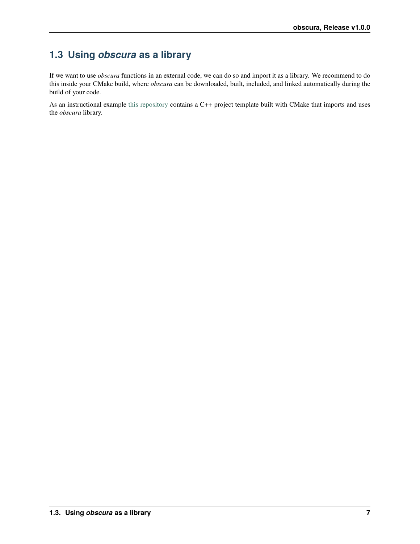## <span id="page-10-0"></span>**1.3 Using** *obscura* **as a library**

If we want to use *obscura* functions in an external code, we can do so and import it as a library. We recommend to do this inside your CMake build, where *obscura* can be downloaded, built, included, and linked automatically during the build of your code.

As an instructional example [this repository](https://github.com/temken/template_cpp_cmake_obscura) contains a C++ project template built with CMake that imports and uses the *obscura* library.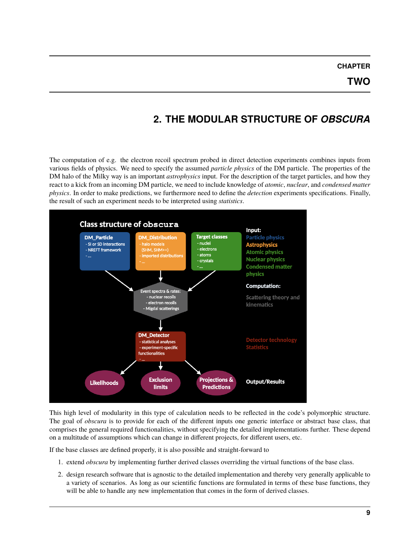## **2. THE MODULAR STRUCTURE OF** *OBSCURA*

<span id="page-12-0"></span>The computation of e.g. the electron recoil spectrum probed in direct detection experiments combines inputs from various fields of physics. We need to specify the assumed *particle physics* of the DM particle. The properties of the DM halo of the Milky way is an important *astrophysics* input. For the description of the target particles, and how they react to a kick from an incoming DM particle, we need to include knowledge of *atomic*, *nuclear*, and *condensed matter physics*. In order to make predictions, we furthermore need to define the *detection* experiments specifications. Finally, the result of such an experiment needs to be interpreted using *statistics*.



This high level of modularity in this type of calculation needs to be reflected in the code's polymorphic structure. The goal of *obscura* is to provide for each of the different inputs one generic interface or abstract base class, that comprises the general required functionalities, without specifying the detailed implementations further. These depend on a multitude of assumptions which can change in different projects, for different users, etc.

If the base classes are defined properly, it is also possible and straight-forward to

- 1. extend *obscura* by implementing further derived classes overriding the virtual functions of the base class.
- 2. design research software that is agnostic to the detailed implementation and thereby very generally applicable to a variety of scenarios. As long as our scientific functions are formulated in terms of these base functions, they will be able to handle any new implementation that comes in the form of derived classes.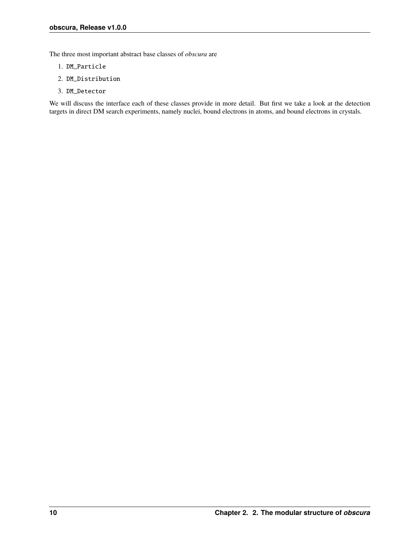The three most important abstract base classes of *obscura* are

- 1. DM\_Particle
- 2. DM\_Distribution
- 3. DM\_Detector

We will discuss the interface each of these classes provide in more detail. But first we take a look at the detection targets in direct DM search experiments, namely nuclei, bound electrons in atoms, and bound electrons in crystals.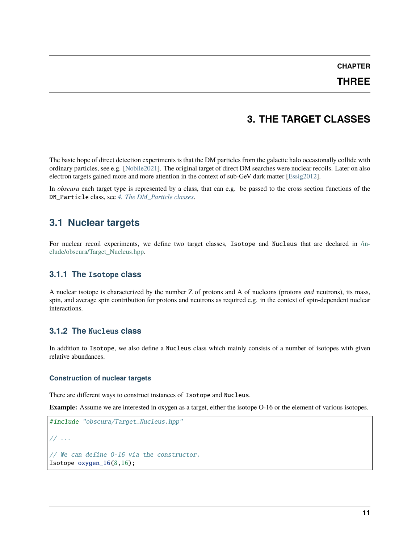**THREE**

### **3. THE TARGET CLASSES**

<span id="page-14-0"></span>The basic hope of direct detection experiments is that the DM particles from the galactic halo occasionally collide with ordinary particles, see e.g. [\[Nobile2021\]](#page-48-2). The original target of direct DM searches were nuclear recoils. Later on also electron targets gained more and more attention in the context of sub-GeV dark matter [\[Essig2012\]](#page-48-3).

In *obscura* each target type is represented by a class, that can e.g. be passed to the cross section functions of the DM\_Particle class, see *[4. The DM\\_Particle classes](#page-18-0)*.

### <span id="page-14-1"></span>**3.1 Nuclear targets**

For nuclear recoil experiments, we define two target classes, Isotope and Nucleus that are declared in [/in](https://github.com/temken/obscura/blob/main/include/obscura/Target_Nucleus.hpp)[clude/obscura/Target\\_Nucleus.hpp.](https://github.com/temken/obscura/blob/main/include/obscura/Target_Nucleus.hpp)

#### **3.1.1 The** Isotope **class**

A nuclear isotope is characterized by the number Z of protons and A of nucleons (protons *and* neutrons), its mass, spin, and average spin contribution for protons and neutrons as required e.g. in the context of spin-dependent nuclear interactions.

#### **3.1.2 The** Nucleus **class**

In addition to Isotope, we also define a Nucleus class which mainly consists of a number of isotopes with given relative abundances.

#### **Construction of nuclear targets**

There are different ways to construct instances of Isotope and Nucleus.

**Example:** Assume we are interested in oxygen as a target, either the isotope O-16 or the element of various isotopes.

```
#include "obscura/Target_Nucleus.hpp"
// ...
// We can define O-16 via the constructor.
Isotope oxygen_16(8,16);
```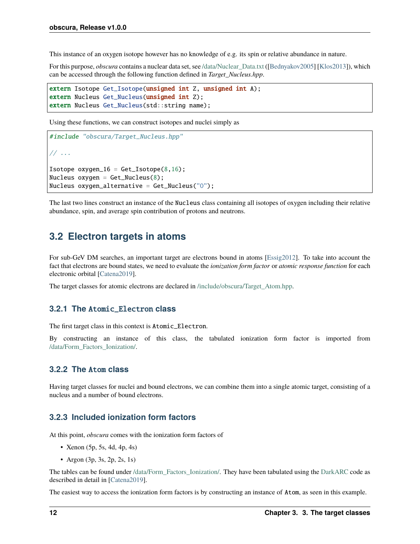This instance of an oxygen isotope however has no knowledge of e.g. its spin or relative abundance in nature.

For this purpose, *obscura* contains a nuclear data set, see /data/Nuclear Data.txt ([\[Bednyakov2005\]](#page-48-4) [\[Klos2013\]](#page-48-5)), which can be accessed through the following function defined in *Target\_Nucleus.hpp*.

```
extern Isotope Get_Isotope(unsigned int Z, unsigned int A);
extern Nucleus Get_Nucleus(unsigned int Z);
extern Nucleus Get_Nucleus(std::string name);
```
Using these functions, we can construct isotopes and nuclei simply as

```
#include "obscura/Target_Nucleus.hpp"
// ...
Isotope oxygen_16 = Get_Isotope(8, 16);
Nucleus oxygen = Get_Nucleus(8);
Nucleus oxygen_alternative = Get_Mucleus("0");
```
The last two lines construct an instance of the Nucleus class containing all isotopes of oxygen including their relative abundance, spin, and average spin contribution of protons and neutrons.

### <span id="page-15-0"></span>**3.2 Electron targets in atoms**

For sub-GeV DM searches, an important target are electrons bound in atoms [\[Essig2012\]](#page-48-3). To take into account the fact that electrons are bound states, we need to evaluate the *ionization form factor* or *atomic response function* for each electronic orbital [\[Catena2019\]](#page-48-6).

The target classes for atomic electrons are declared in [/include/obscura/Target\\_Atom.hpp.](https://github.com/temken/obscura/blob/main/include/obscura/Target_Atom.hpp)

#### **3.2.1 The** Atomic\_Electron **class**

The first target class in this context is Atomic\_Electron.

By constructing an instance of this class, the tabulated ionization form factor is imported from [/data/Form\\_Factors\\_Ionization/.](https://github.com/temken/obscura/tree/main/data/Form_Factors_Ionization)

#### **3.2.2 The** Atom **class**

Having target classes for nuclei and bound electrons, we can combine them into a single atomic target, consisting of a nucleus and a number of bound electrons.

#### **3.2.3 Included ionization form factors**

At this point, *obscura* comes with the ionization form factors of

- Xenon (5p, 5s, 4d, 4p, 4s)
- Argon (3p, 3s, 2p, 2s, 1s)

The tables can be found under [/data/Form\\_Factors\\_Ionization/.](https://github.com/temken/obscura/tree/main/data/Form_Factors_Ionization) They have been tabulated using the [DarkARC](https://github.com/temken/DarkARC) code as described in detail in [\[Catena2019\]](#page-48-6).

The easiest way to access the ionization form factors is by constructing an instance of Atom, as seen in this example.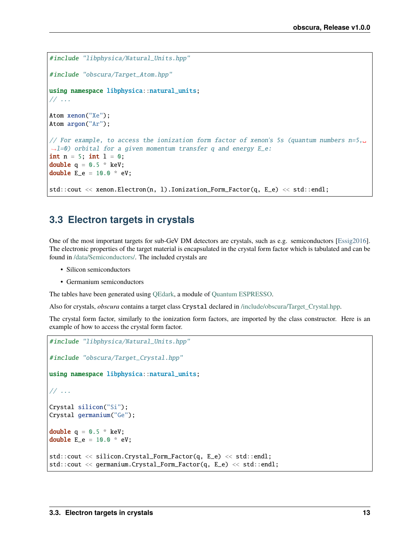```
#include "libphysica/Natural_Units.hpp"
#include "obscura/Target_Atom.hpp"
using namespace libphysica::natural_units;
// ...
Atom xenon("Xe");
Atom argon("Ar");
// For example, to access the ionization form factor of xenon's 5s (quantum numbers n=5,␣
\rightarrowl=0) orbital for a given momentum transfer q and energy E_e:
int n = 5; int l = 0;
double q = 0.5 * keV;
double E_e = 10.0 * eV;
std::cout << xenon.Electron(n, l).Ionization_Form_Factor(q, E_e) << std::endl;
```
### <span id="page-16-0"></span>**3.3 Electron targets in crystals**

One of the most important targets for sub-GeV DM detectors are crystals, such as e.g. semiconductors [\[Essig2016\]](#page-48-7). The electronic properties of the target material is encapsulated in the crystal form factor which is tabulated and can be found in [/data/Semiconductors/.](https://github.com/temken/obscura/tree/main/data/Form_Factors_Ionization) The included crystals are

- Silicon semiconductors
- Germanium semiconductors

The tables have been generated using [QEdark,](http://ddldm.physics.sunysb.edu/ddlDM/) a module of [Quantum ESPRESSO.](https://www.quantum-espresso.org/)

Also for crystals, *obscura* contains a target class Crystal declared in [/include/obscura/Target\\_Crystal.hpp.](https://github.com/temken/obscura/blob/main/include/obscura/Target_Crystal.hpp)

The crystal form factor, similarly to the ionization form factors, are imported by the class constructor. Here is an example of how to access the crystal form factor.

```
#include "libphysica/Natural_Units.hpp"
#include "obscura/Target_Crystal.hpp"
using namespace libphysica::natural_units;
// ...
Crystal silicon("Si");
Crystal germanium("Ge");
double q = 0.5 * keV;
double E_e = 10.0 * eV;
std::cout << silicon.Crystal_Form_Factor(q, E_e) << std::endl;
std::cout << germanium.Crystal_Form_Factor(q, E_e) << std::endl;
```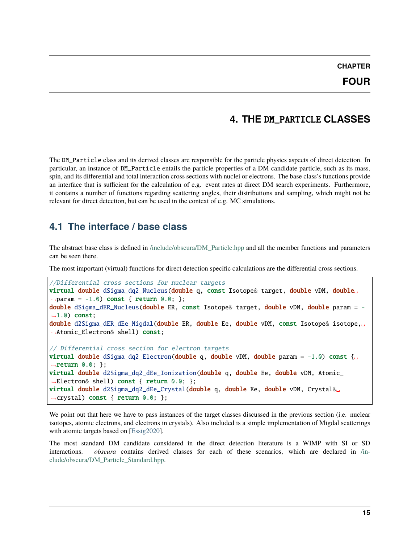### **4. THE** DM\_PARTICLE **CLASSES**

<span id="page-18-0"></span>The DM\_Particle class and its derived classes are responsible for the particle physics aspects of direct detection. In particular, an instance of DM\_Particle entails the particle properties of a DM candidate particle, such as its mass, spin, and its differential and total interaction cross sections with nuclei or electrons. The base class's functions provide an interface that is sufficient for the calculation of e.g. event rates at direct DM search experiments. Furthermore, it contains a number of functions regarding scattering angles, their distributions and sampling, which might not be relevant for direct detection, but can be used in the context of e.g. MC simulations.

### <span id="page-18-1"></span>**4.1 The interface / base class**

The abstract base class is defined in [/include/obscura/DM\\_Particle.hpp](https://github.com/temken/obscura/blob/main/include/obscura/DM_Particle.hpp) and all the member functions and parameters can be seen there.

The most important (virtual) functions for direct detection specific calculations are the differential cross sections.

```
//Differential cross sections for nuclear targets
virtual double dSigma_dq2_Nucleus(double q, const Isotope& target, double vDM, double.
\rightarrowparam = -1.0) const { return 0.0; };
double dSigma_dER_Nucleus(double ER, const Isotope& target, double vDM, double param = -
\rightarrow1.0) const;
double d2Sigma_dER_dEe_Migdal(double ER, double Ee, double vDM, const Isotope& isotope,.
˓→Atomic_Electron& shell) const;
// Differential cross section for electron targets
virtual double dSigma_dq2_Electron(double q, double vDM, double param = -1.0) const {\Box˓→return 0.0; };
virtual double d2Sigma_dq2_dEe_Ionization(double q, double Ee, double vDM, Atomic_
˓→Electron& shell) const { return 0.0; };
virtual double d2Sigma_dq2_dEe_Crystal(double q, double Ee, double vDM, Crystal&␣
˓→crystal) const { return 0.0; };
```
We point out that here we have to pass instances of the target classes discussed in the previous section (i.e. nuclear isotopes, atomic electrons, and electrons in crystals). Also included is a simple implementation of Migdal scatterings with atomic targets based on [\[Essig2020\]](#page-48-8).

The most standard DM candidate considered in the direct detection literature is a WIMP with SI or SD interactions. *obscura* contains derived classes for each of these scenarios, which are declared in [/in](https://github.com/temken/obscura/blob/main/include/obscura/DM_Particle_Standard.hpp)[clude/obscura/DM\\_Particle\\_Standard.hpp.](https://github.com/temken/obscura/blob/main/include/obscura/DM_Particle_Standard.hpp)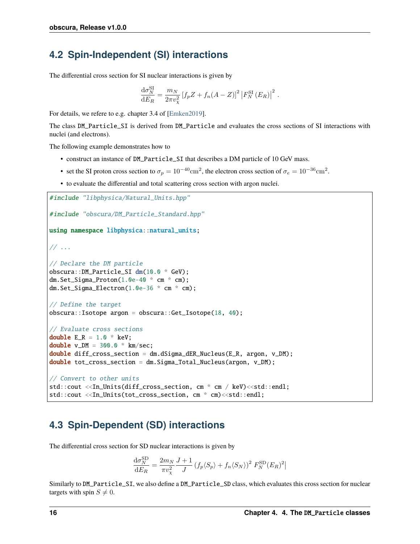### <span id="page-19-0"></span>**4.2 Spin-Independent (SI) interactions**

The differential cross section for SI nuclear interactions is given by

$$
\frac{\mathrm{d}\sigma_N^{\rm SI}}{\mathrm{d}E_R} = \frac{m_N}{2\pi v_\chi^2} \left[ f_p Z + f_n (A-Z) \right]^2 \left| F_N^{\rm SI} \left( E_R \right) \right|^2 \, .
$$

For details, we refere to e.g. chapter 3.4 of [\[Emken2019\]](#page-48-1).

The class DM\_Particle\_SI is derived from DM\_Particle and evaluates the cross sections of SI interactions with nuclei (and electrons).

The following example demonstrates how to

- construct an instance of DM\_Particle\_SI that describes a DM particle of 10 GeV mass.
- set the SI proton cross section to  $\sigma_p = 10^{-40}$ cm<sup>2</sup>, the electron cross section of  $\sigma_e = 10^{-36}$ cm<sup>2</sup>.
- to evaluate the differential and total scattering cross section with argon nuclei.

```
#include "libphysica/Natural_Units.hpp"
#include "obscura/DM_Particle_Standard.hpp"
using namespace libphysica::natural_units;
// ...
// Declare the DM particle
obscura::DM_Particle_SI dm(10.0 * GeV);
dm.Set_Sigma_Proton(1.0e-40 * cm * cm);
dm.Set_Sigma_Electron(1.0e-36 * cm * cm);
// Define the target
obscura::Isotope argon = obscura::Get_Isotope(18, 40);
// Evaluate cross sections
double E_R = 1.0 * keV;
double v\_DM = 300.0 * km/sec;double diff_cross_section = dm.dSigma_dER_Nucleus(E_R, argon, v_DM);
double tot_cross_section = dm.Sigma_Total_Nucleus(argon, v_DM);
// Convert to other units
std::cout <<In_Units(diff_cross_section, cm * cm / keV)<<std::endl;
std::cout <<In_Units(tot_cross_section, cm * cm)<<std::endl;
```
## <span id="page-19-1"></span>**4.3 Spin-Dependent (SD) interactions**

The differential cross section for SD nuclear interactions is given by

$$
\frac{\mathrm{d}\sigma_N^{\text{SD}}}{\mathrm{d}E_R} = \frac{2m_N}{\pi v_\chi^2} \frac{J+1}{J} \left( f_p \langle S_p \rangle + f_n \langle S_N \rangle \right)^2 F_N^{\text{SD}}(E_R)^2
$$

Similarly to DM\_Particle\_SI, we also define a DM\_Particle\_SD class, which evaluates this cross section for nuclear targets with spin  $S \neq 0$ .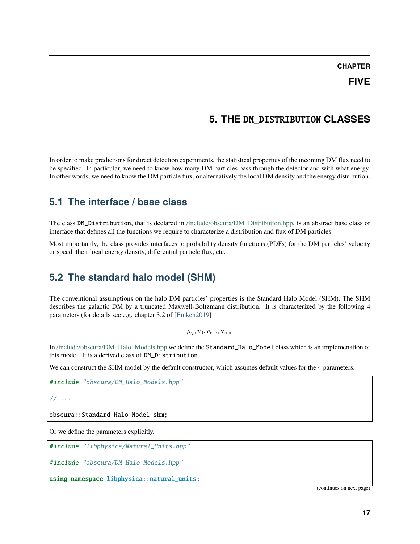### **5. THE** DM\_DISTRIBUTION **CLASSES**

<span id="page-20-0"></span>In order to make predictions for direct detection experiments, the statistical properties of the incoming DM flux need to be specified. In particular, we need to know how many DM particles pass through the detector and with what energy. In other words, we need to know the DM particle flux, or alternatively the local DM density and the energy distribution.

### <span id="page-20-1"></span>**5.1 The interface / base class**

The class DM\_Distribution, that is declared in [/include/obscura/DM\\_Distribution.hpp,](https://github.com/temken/obscura/blob/main/include/obscura/DM_Distribution.hpp) is an abstract base class or interface that defines all the functions we require to characterize a distribution and flux of DM particles.

Most importantly, the class provides interfaces to probability density functions (PDFs) for the DM particles' velocity or speed, their local energy density, differential particle flux, etc.

### <span id="page-20-2"></span>**5.2 The standard halo model (SHM)**

The conventional assumptions on the halo DM particles' properties is the Standard Halo Model (SHM). The SHM describes the galactic DM by a truncated Maxwell-Boltzmann distribution. It is characterized by the following 4 parameters (for details see e.g. chapter 3.2 of [\[Emken2019\]](#page-48-1)

 $\rho_{\chi}, v_0, v_{\text{esc}}, \mathbf{v}_{\text{obs}}$ 

In [/include/obscura/DM\\_Halo\\_Models.hpp](https://github.com/temken/obscura/blob/main/include/obscura/DM_Halo_Models.hpp) we define the Standard\_Halo\_Model class which is an implemenation of this model. It is a derived class of DM\_Distribution.

We can construct the SHM model by the default constructor, which assumes default values for the 4 parameters.

#include "obscura/DM\_Halo\_Models.hpp"

```
// ...
```
obscura::Standard\_Halo\_Model shm;

Or we define the parameters explicitly.

#include "libphysica/Natural\_Units.hpp"

#include "obscura/DM\_Halo\_Models.hpp"

using namespace libphysica::natural\_units;

(continues on next page)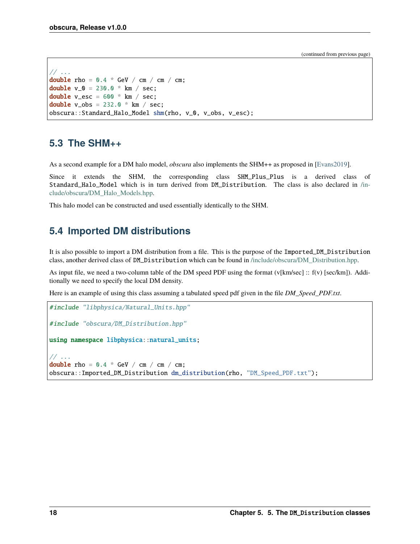(continued from previous page)

```
// ...
double rho = 0.4 * GeV / cm / cm / cm;
double v_0 = 230.0 * km / sec;double v_esc = 600 * km / sec;
double v_obs = 232.0 * km / sec;
obscura::Standard_Halo_Model shm(rho, v_0, v_obs, v_esc);
```
### <span id="page-21-0"></span>**5.3 The SHM++**

As a second example for a DM halo model, *obscura* also implements the SHM++ as proposed in [\[Evans2019\]](#page-48-9).

Since it extends the SHM, the corresponding class SHM\_Plus\_Plus is a derived class of Standard\_Halo\_Model which is in turn derived from DM\_Distribution. The class is also declared in [/in](https://github.com/temken/obscura/blob/main/include/obscura/DM_Halo_Models.hpp)[clude/obscura/DM\\_Halo\\_Models.hpp.](https://github.com/temken/obscura/blob/main/include/obscura/DM_Halo_Models.hpp)

This halo model can be constructed and used essentially identically to the SHM.

### <span id="page-21-1"></span>**5.4 Imported DM distributions**

It is also possible to import a DM distribution from a file. This is the purpose of the Imported\_DM\_Distribution class, another derived class of DM\_Distribution which can be found in [/include/obscura/DM\\_Distribution.hpp.](https://github.com/temken/obscura/blob/main/include/obscura/DM_Distribution.hpp)

As input file, we need a two-column table of the DM speed PDF using the format (v[km/sec] :: f(v) [sec/km]). Additionally we need to specify the local DM density.

Here is an example of using this class assuming a tabulated speed pdf given in the file *DM\_Speed\_PDF.txt*.

```
#include "libphysica/Natural_Units.hpp"
#include "obscura/DM_Distribution.hpp"
using namespace libphysica::natural_units;
// ...
double rho = 0.4 * GeV / cm / cm / cm;
obscura::Imported_DM_Distribution dm_distribution(rho, "DM_Speed_PDF.txt");
```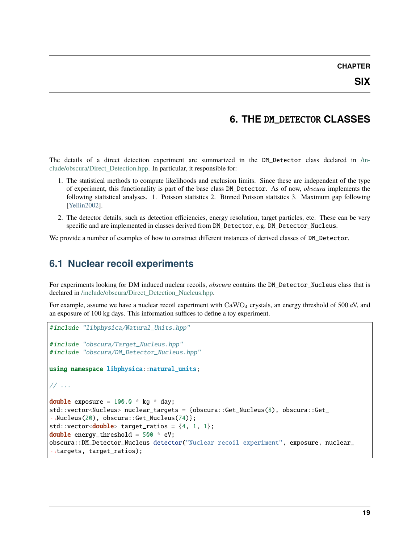### **6. THE** DM\_DETECTOR **CLASSES**

<span id="page-22-0"></span>The details of a direct detection experiment are summarized in the DM\_Detector class declared in [/in](https://github.com/temken/obscura/blob/main/include/obscura/Direct_Detection.hpp)[clude/obscura/Direct\\_Detection.hpp.](https://github.com/temken/obscura/blob/main/include/obscura/Direct_Detection.hpp) In particular, it responsible for:

- 1. The statistical methods to compute likelihoods and exclusion limits. Since these are independent of the type of experiment, this functionality is part of the base class DM\_Detector. As of now, *obscura* implements the following statistical analyses. 1. Poisson statistics 2. Binned Poisson statistics 3. Maximum gap following [\[Yellin2002\]](#page-48-10).
- 2. The detector details, such as detection efficiencies, energy resolution, target particles, etc. These can be very specific and are implemented in classes derived from DM\_Detector, e.g. DM\_Detector\_Nucleus.

We provide a number of examples of how to construct different instances of derived classes of DM\_Detector.

### <span id="page-22-1"></span>**6.1 Nuclear recoil experiments**

For experiments looking for DM induced nuclear recoils, *obscura* contains the DM\_Detector\_Nucleus class that is declared in [/include/obscura/Direct\\_Detection\\_Nucleus.hpp.](https://github.com/temken/obscura/blob/main/include/obscura/Direct_Detection_Nucleus.hpp)

For example, assume we have a nuclear recoil experiment with  $CaWO<sub>4</sub>$  crystals, an energy threshold of 500 eV, and an exposure of 100 kg days. This information suffices to define a toy experiment.

```
#include "libphysica/Natural_Units.hpp"
#include "obscura/Target_Nucleus.hpp"
#include "obscura/DM_Detector_Nucleus.hpp"
using namespace libphysica::natural_units;
// ...
double exposure = 100.0 * kg * day;
std::vector<Nucleus> nuclear_targets = {obscura::Get_Nucleus(8), obscura::Get_
˓→Nucleus(20), obscura::Get_Nucleus(74)};
std::vector < double>target\_rations = {4, 1, 1};double energy_threshold = 500 * eV;
obscura::DM_Detector_Nucleus detector("Nuclear recoil experiment", exposure, nuclear_
\rightarrowtargets, target_ratios);
```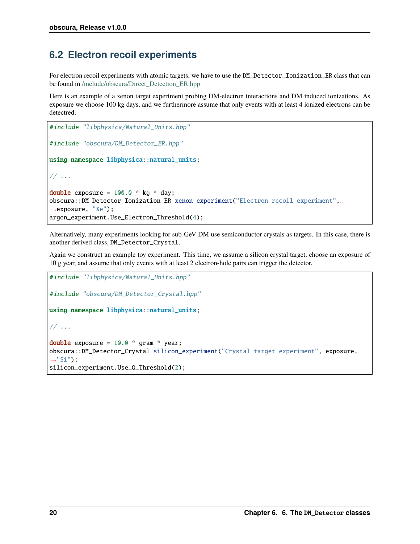## <span id="page-23-0"></span>**6.2 Electron recoil experiments**

For electron recoil experiments with atomic targets, we have to use the DM\_Detector\_Ionization\_ER class that can be found in [/include/obscura/Direct\\_Detection\\_ER.hpp](https://github.com/temken/obscura/blob/main/include/obscura/Direct_Detection_ER.hpp)

Here is an example of a xenon target experiment probing DM-electron interactions and DM induced ionizations. As exposure we choose 100 kg days, and we furthermore assume that only events with at least 4 ionized electrons can be detectred.

```
#include "libphysica/Natural_Units.hpp"
#include "obscura/DM_Detector_ER.hpp"
using namespace libphysica::natural_units;
// ...
double exposure = 100.0 * kg * day;obscura::DM_Detector_Ionization_ER xenon_experiment("Electron recoil experiment",␣
˓→exposure, "Xe");
argon_experiment.Use_Electron_Threshold(4);
```
Alternatively, many experiments looking for sub-GeV DM use semiconductor crystals as targets. In this case, there is another derived class, DM\_Detector\_Crystal.

Again we construct an example toy experiment. This time, we assume a silicon crystal target, choose an exposure of 10 g year, and assume that only events with at least 2 electron-hole pairs can trigger the detector.

```
#include "libphysica/Natural_Units.hpp"
#include "obscura/DM_Detector_Crystal.hpp"
using namespace libphysica::natural_units;
// ...
double exposure = 10.0 * gram * year;
obscura::DM_Detector_Crystal silicon_experiment("Crystal target experiment", exposure,
\leftrightarrow"Si");
silicon_experiment.Use_Q_Threshold(2);
```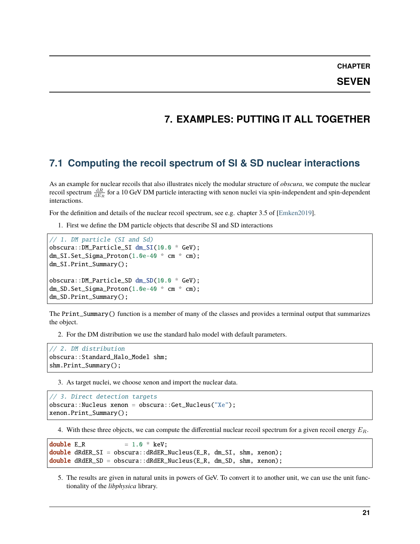**SEVEN**

### **7. EXAMPLES: PUTTING IT ALL TOGETHER**

### <span id="page-24-1"></span><span id="page-24-0"></span>**7.1 Computing the recoil spectrum of SI & SD nuclear interactions**

As an example for nuclear recoils that also illustrates nicely the modular structure of *obscura*, we compute the nuclear recoil spectrum  $\frac{dR}{dE_R}$  for a 10 GeV DM particle interacting with xenon nuclei via spin-independent and spin-dependent interactions.

For the definition and details of the nuclear recoil spectrum, see e.g. chapter 3.5 of [\[Emken2019\]](#page-48-1).

1. First we define the DM particle objects that describe SI and SD interactions

```
// 1. DM particle (SI and Sd)
obscura::DM_Particle_SI dm_SI(10.0 * GeV);
dm_SI.Set_Sigma_Proton(1.0e-40 * cm * cm);
dm_SI.Print_Summary();
obscura::DM_Particle_SD dm_SD(10.0 * GeV);
dm_SD.Set_Sigma_Proton(1.0e-40 * cm * cm);
dm_SD.Print_Summary();
```
The Print\_Summary() function is a member of many of the classes and provides a terminal output that summarizes the object.

2. For the DM distribution we use the standard halo model with default parameters.

```
// 2. DM distribution
obscura::Standard_Halo_Model shm;
shm.Print_Summary();
```
3. As target nuclei, we choose xenon and import the nuclear data.

```
// 3. Direct detection targets
obscura::Nucleus xenon = obscura::Get_Nucleus("Xe");
xenon.Print_Summary();
```
4. With these three objects, we can compute the differential nuclear recoil spectrum for a given recoil energy  $E_R$ .

```
double E_R = 1.0 * keV;
double dRdER_SI = obscura::dRdER_Nucleus(E_R, dm_SI, shm, xenon);
double dRdER_SD = obscura::dRdER_Nucleus(E_R, dm_SD, shm, xenon);
```
5. The results are given in natural units in powers of GeV. To convert it to another unit, we can use the unit functionality of the *libphysica* library.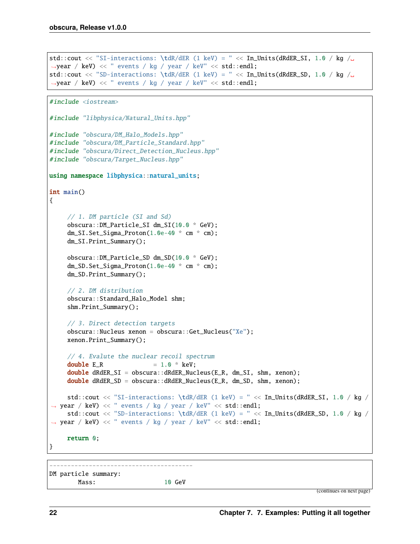```
std::cout << "SI-interactions: \tdR/dER (1 keV) = " << In_Units(dRdER_SI, 1.0 / kg /\Box˓→year / keV) << " events / kg / year / keV" << std::endl;
std::cout << "SD-interactions: \tdR/dER (1 keV) = " << In_Units(dRdER_SD, 1.0 / kg /\Box˓→year / keV) << " events / kg / year / keV" << std::endl;
#include <iostream>
#include "libphysica/Natural_Units.hpp"
#include "obscura/DM_Halo_Models.hpp"
#include "obscura/DM_Particle_Standard.hpp"
#include "obscura/Direct_Detection_Nucleus.hpp"
#include "obscura/Target_Nucleus.hpp"
using namespace libphysica::natural_units;
int main()
{
     // 1. DM particle (SI and Sd)
     obscura::DM_Particle_SI dm_SI(10.0 * GeV);
     dm_SI.Set_Sigma_Proton(1.0e-40 * cm * cm);
     dm_SI.Print_Summary();
    obscura::DM_Particle_SD dm_SD(10.0 * GeV);
     dm_SD.Set_Sigma_Proton(1.0e-40 * cm * cm);
     dm_SD.Print_Summary();
     // 2. DM distribution
    obscura::Standard_Halo_Model shm;
     shm.Print_Summary();
     // 3. Direct detection targets
    obscura::Nucleus xenon = obscura::Get_Nucleus("Xe");
     xenon.Print_Summary();
     // 4. Evalute the nuclear recoil spectrum
     double E_R = 1.0 * keV;
     double dRdER_SI = obscura::dRdER_Nucleus(E_R, dm_SI, shm, xenon);
     double dRdER_SD = obscura::dRdER_Nucleus(E_R, dm_SD, shm, xenon);
    std::cout << "SI-interactions: \tdR/dER (1 keV) = " << In_Units(dRdER_SI, 1.0 / kg /
˓→ year / keV) << " events / kg / year / keV" << std::endl;
     std::cout << "SD-interactions: \tdR/dER (1 keV) = " << In_Units(dRdER_SD, 1.0 / kg /
\rightarrow year / keV) << " events / kg / year / keV" << std::endl;
     return 0;
}
----------------------------------------
```

```
DM particle summary:
     Mass: 10 GeV
```
(continues on next page)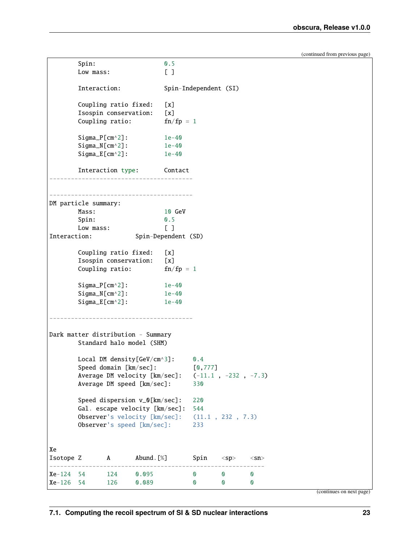(continued from previous page)

```
Spin: 0.5
      Low mass: [ ]
      Interaction: Spin-Independent (SI)
      Coupling ratio fixed: [x]
      Isospin conservation: [x]
      Coupling ratio: fn/fp = 1Sigma_P[cm^2]: 1e-40Sigma_N[cm^2]: 1e-40Sigma_{E}[cm^2]: 1e-40Interaction type: Contact
     ----------------------------------------
   ----------------------------------------
DM particle summary:
      Mass: 10 GeV
      Spin: 0.5
      Low mass: [ ]
Interaction: Spin-Dependent (SD)
      Coupling ratio fixed: [x]
      Isospin conservation: [x]
      Coupling ratio: fn/fp = 1Sigma_P[cm^2]: 1e-40Sigma_N[cm^2]: 1e-40Sigma_{E}[cm^2]: 1e-40----------------------------------------
Dark matter distribution - Summary
      Standard halo model (SHM)
      Local DM density[GeV/cm^3]: 0.4
      Speed domain [km/sec]: [0,777]
      Average DM velocity [km/sec]: (-11.1 , -232 , -7.3)
      Average DM speed [km/sec]: 330
      Speed dispersion v_0[km/sec]: 220
      Gal. escape velocity [km/sec]: 544
      Observer's velocity [km/sec]: (11.1 , 232 , 7.3)
      Observer's speed [km/sec]: 233
Xe
Isotope Z A Abund. [%] Spin <sp> <sn>
------------------------------------------------------------
Xe-124 54 124 0.095 0 0 0
Xe-126 54 126 0.089 0 0 0
```
(continues on next page)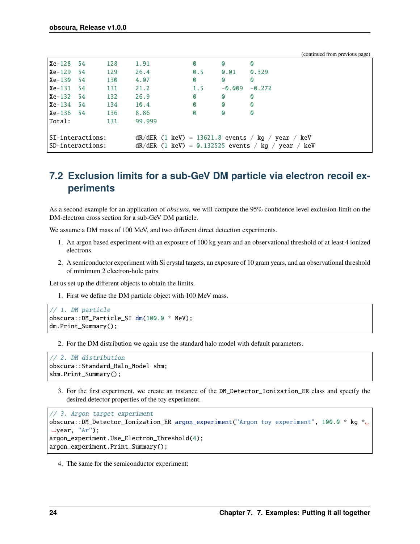|                  |      |     |                                                        |                                           |                 |                       | $($ commune $\ldots$ previous $\mathsf{p}_n$ ge |  |
|------------------|------|-----|--------------------------------------------------------|-------------------------------------------|-----------------|-----------------------|-------------------------------------------------|--|
| $Xe-128$         | - 54 | 128 | 1.91                                                   | $\boldsymbol{\omega}$                     | $\mathbf{0}$    | $\mathbf{0}$          |                                                 |  |
| $Xe-129$         | -54  | 129 | 26.4                                                   | $\mathbf{0.5}$                            | $\mathbf{0.01}$ | $\mathbf{0.329}$      |                                                 |  |
| $Xe-130$         | -54  | 130 | 4.07                                                   | 0                                         | $\mathbf{0}$    | $\mathbf{Q}$          |                                                 |  |
| $Xe-131$         | -54  | 131 | 21.2                                                   | 1.5                                       | $-0.009$        | $-0.272$              |                                                 |  |
| $Xe-132$         | - 54 | 132 | 26.9                                                   | 0                                         | $\mathbf{0}$    | $\mathbf{Q}$          |                                                 |  |
| $Xe-134$         | -54  | 134 | 10.4                                                   | 0                                         | $\mathbf{0}$    | $\mathbf{Q}$          |                                                 |  |
| $Xe-136$         | - 54 | 136 | 8.86                                                   | 0                                         | $\mathbf{0}$    | $\boldsymbol{\Omega}$ |                                                 |  |
| Total:           |      | 131 | 99.999                                                 |                                           |                 |                       |                                                 |  |
|                  |      |     |                                                        |                                           |                 |                       |                                                 |  |
| SI-interactions: |      |     | $dR/dER$ (1 keV) = 13621.8 events / kg / year /<br>keV |                                           |                 |                       |                                                 |  |
| SD-interactions: |      |     |                                                        | $dR/dER$ (1 keV) = 0.132525 events / kg / |                 | year / keV            |                                                 |  |
|                  |      |     |                                                        |                                           |                 |                       |                                                 |  |

(continued from previous page)

## <span id="page-27-0"></span>**7.2 Exclusion limits for a sub-GeV DM particle via electron recoil experiments**

As a second example for an application of *obscura*, we will compute the 95% confidence level exclusion limit on the DM-electron cross section for a sub-GeV DM particle.

We assume a DM mass of 100 MeV, and two different direct detection experiments.

- 1. An argon based experiment with an exposure of 100 kg years and an observational threshold of at least 4 ionized electrons.
- 2. A semiconductor experiment with Si crystal targets, an exposure of 10 gram years, and an observational threshold of minimum 2 electron-hole pairs.

Let us set up the different objects to obtain the limits.

1. First we define the DM particle object with 100 MeV mass.

```
// 1. DM particle
obscura::DM_Particle_SI dm(100.0 * MeV);
dm.Print_Summary();
```
2. For the DM distribution we again use the standard halo model with default parameters.

```
// 2. DM distribution
obscura::Standard_Halo_Model shm;
shm.Print_Summary();
```
3. For the first experiment, we create an instance of the DM\_Detector\_Ionization\_ER class and specify the desired detector properties of the toy experiment.

```
// 3. Argon target experiment
obscura::DM_Detector_Ionization_ER argon_experiment("Argon toy experiment", 100.0 * kg *␣
˓→year, "Ar");
argon_experiment.Use_Electron_Threshold(4);
argon_experiment.Print_Summary();
```
4. The same for the semiconductor experiment: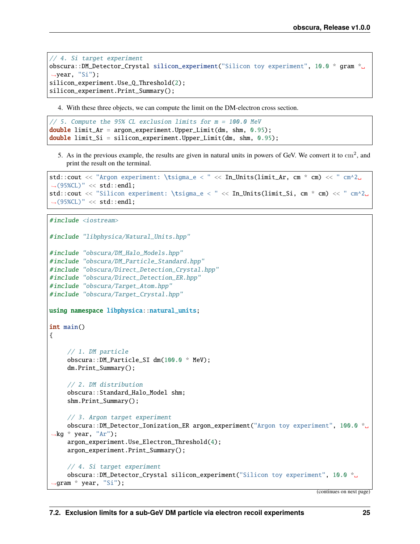```
// 4. Si target experiment
obscura::DM_Detector_Crystal silicon_experiment("Silicon toy experiment", 10.0 * gram *␣
\rightarrowyear, "Si");
silicon_experiment.Use_Q_Threshold(2);
silicon_experiment.Print_Summary();
```
4. With these three objects, we can compute the limit on the DM-electron cross section.

```
// 5. Compute the 95% CL exclusion limits for m = 100.0 MeV
double limit_Ar = argon_experiment.Upper_Limit(dm, shm, 0.95);
double limit_Si = silicon_experiment.Upper_Limit(dm, shm, 0.95);
```
5. As in the previous example, the results are given in natural units in powers of GeV. We convert it to  $\text{cm}^2$ , and print the result on the terminal.

```
std::cout << "Argon experiment: \tsigma_e < " << In_Units(limit_Ar, cm * cm) << " cm^2␣
˓→(95%CL)" << std::endl;
std::cout << "Silicon experiment: \tsigma_e < " << In_Units(limit_Si, cm * cm) << " cm^2␣
\rightarrow(95%CL)" << std::endl;
```

```
#include <iostream>
```

```
#include "libphysica/Natural_Units.hpp"
```

```
#include "obscura/DM_Halo_Models.hpp"
#include "obscura/DM_Particle_Standard.hpp"
#include "obscura/Direct_Detection_Crystal.hpp"
#include "obscura/Direct_Detection_ER.hpp"
```
#include "obscura/Target\_Atom.hpp"

```
#include "obscura/Target_Crystal.hpp"
```

```
using namespace libphysica::natural_units;
```
int main()

```
{
```

```
// 1. DM particle
obscura::DM_Particle_SI dm(100.0 * MeV);
dm.Print_Summary();
```
// 2. DM distribution obscura::Standard\_Halo\_Model shm; shm.Print\_Summary();

```
// 3. Argon target experiment
```

```
obscura::DM_Detector_Ionization_ER argon_experiment("Argon toy experiment", 100.0 *␣
\rightarrowkg * year, "Ar");
    argon_experiment.Use_Electron_Threshold(4);
    argon_experiment.Print_Summary();
    // 4. Si target experiment
```

```
obscura::DM_Detector_Crystal silicon_experiment("Silicon toy experiment", 10.0 *␣
\rightarrowgram * year, "Si");
```
(continues on next page)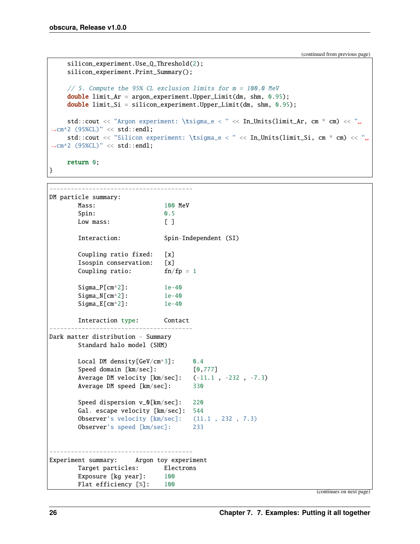```
(continued from previous page)
```

```
silicon_experiment.Use_Q_Threshold(2);
     silicon_experiment.Print_Summary();
     // 5. Compute the 95% CL exclusion limits for <math>m = 100.0 \text{ MeV}</math>double limit\_Ar = argon\_experiment.Upper\_Limit(dm, shm, 0.95);double limit_Si = silicon_experiment.Upper_Limit(dm, shm, 0.95);
     std::cout << "Argon experiment: \tsigma_e < " << In_Units(limit_Ar, cm * cm) << "␣
\rightarrowcm^2 (95%CL)" << std::endl;
     std::cout << "Silicon experiment: \tsigma_e < " << In_Units(limit_Si, cm * cm) << "␣
˓→cm^2 (95%CL)" << std::endl;
     return 0;
}
```

```
----------------------------------------
DM particle summary:
      Mass: 100 MeV
      Spin: 0.5
      Low mass: [ ]
      Interaction: Spin-Independent (SI)
      Coupling ratio fixed: [x]
      Isospin conservation: [x]
      Coupling ratio: fn/fp = 1Sigma_P[cm^2]: 1e-40Sigma_N[cm^2]: 1e-40Sigma_{E}[cm^2]: 1e-40Interaction type: Contact
----------------------------------------
Dark matter distribution - Summary
      Standard halo model (SHM)
      Local DM density[GeV/cm^3]: 0.4
      Speed domain [km/sec]: [0,777]
      Average DM velocity [km/sec]: (-11.1 , -232 , -7.3)
      Average DM speed [km/sec]: 330
      Speed dispersion v_0[km/sec]: 220
      Gal. escape velocity [km/sec]: 544
      Observer's velocity [km/sec]: (11.1 , 232 , 7.3)
      Observer's speed [km/sec]: 233
----------------------------------------
Experiment summary: Argon toy experiment
      Target particles: Electrons
      Exposure [kg year]: 100
      Flat efficiency [%]: 100
```
(continues on next page)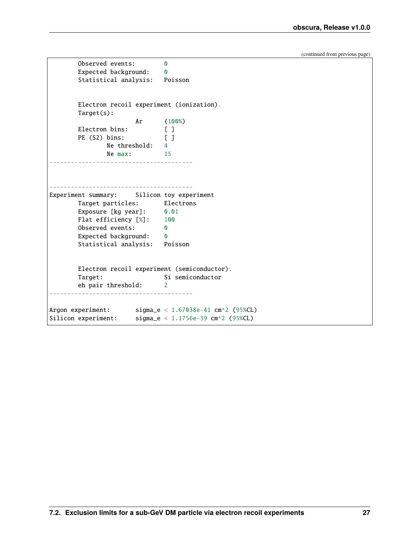(continued from previous page)

```
Observed events: 0
       Expected background: 0
       Statistical analysis: Poisson
       Electron recoil experiment (ionization).
       Target(s):
                     Ar (100%)
       Electron bins: [ ]
       PE (S2) bins: [ ]
             Ne threshold: 4
              Ne max: 15
         ----------------------------------------
    ----------------------------------------
Experiment summary: Silicon toy experiment
       Target particles: Electrons
       Exposure [kg year]: 0.01
       Flat efficiency [%]: 100
       Observed events: 0
       Expected background: 0
       Statistical analysis: Poisson
       Electron recoil experiment (semiconductor).
       Target: Si semiconductor
       eh pair threshold: 2
          ----------------------------------------
Argon experiment: sigma_e < 1.67038e-41 cm^2 (95%CL)
Silicon experiment: signa_e < 1.1756e-39 cm^2 (95%CL)
```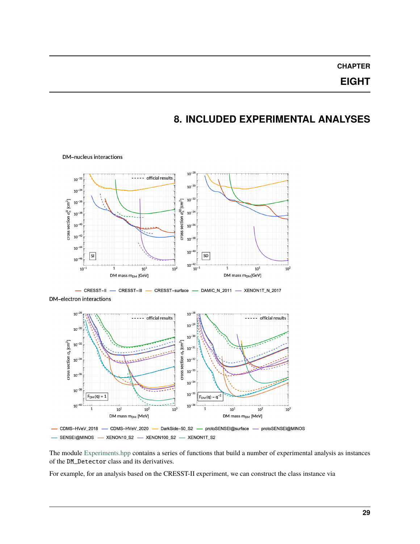**EIGHT**

## **8. INCLUDED EXPERIMENTAL ANALYSES**



<span id="page-32-0"></span>DM-nucleus interactions



DM-electron interactions



- SENSEI@MINOS - XENON10\_S2 - XENON100\_S2 - XENON1T\_S2

The module [Experiments.hpp](https://github.com/temken/obscura/blob/main/include/obscura/Experiments.hpp) contains a series of functions that build a number of experimental analysis as instances of the DM\_Detector class and its derivatives.

For example, for an analysis based on the CRESST-II experiment, we can construct the class instance via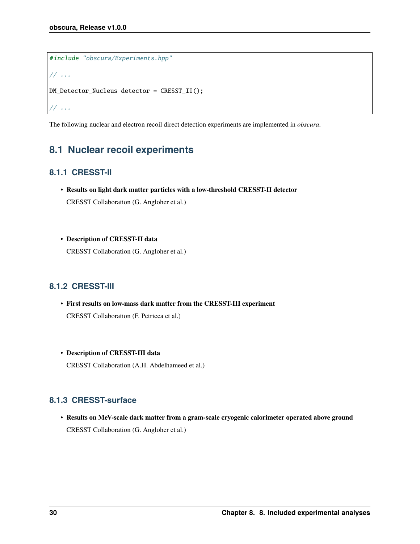```
#include "obscura/Experiments.hpp"
// ...
DM_Detector_Nucleus detector = CRESST_II();
// ...
```
The following nuclear and electron recoil direct detection experiments are implemented in *obscura*.

## <span id="page-33-0"></span>**8.1 Nuclear recoil experiments**

### **8.1.1 CRESST-II**

- **Results on light dark matter particles with a low-threshold CRESST-II detector** CRESST Collaboration (G. Angloher et al.)
- **Description of CRESST-II data** CRESST Collaboration (G. Angloher et al.)

### **8.1.2 CRESST-III**

• **First results on low-mass dark matter from the CRESST-III experiment** CRESST Collaboration (F. Petricca et al.)

#### • **Description of CRESST-III data**

CRESST Collaboration (A.H. Abdelhameed et al.)

#### **8.1.3 CRESST-surface**

• **Results on MeV-scale dark matter from a gram-scale cryogenic calorimeter operated above ground** CRESST Collaboration (G. Angloher et al.)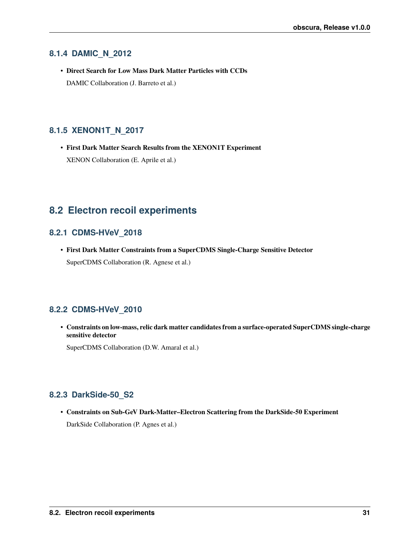#### **8.1.4 DAMIC\_N\_2012**

• **Direct Search for Low Mass Dark Matter Particles with CCDs** DAMIC Collaboration (J. Barreto et al.)

### **8.1.5 XENON1T\_N\_2017**

• **First Dark Matter Search Results from the XENON1T Experiment** XENON Collaboration (E. Aprile et al.)

## <span id="page-34-0"></span>**8.2 Electron recoil experiments**

### **8.2.1 CDMS-HVeV\_2018**

• **First Dark Matter Constraints from a SuperCDMS Single-Charge Sensitive Detector** SuperCDMS Collaboration (R. Agnese et al.)

### **8.2.2 CDMS-HVeV\_2010**

• **Constraints on low-mass, relic dark matter candidates from a surface-operated SuperCDMS single-charge sensitive detector**

SuperCDMS Collaboration (D.W. Amaral et al.)

### **8.2.3 DarkSide-50\_S2**

• **Constraints on Sub-GeV Dark-Matter–Electron Scattering from the DarkSide-50 Experiment** DarkSide Collaboration (P. Agnes et al.)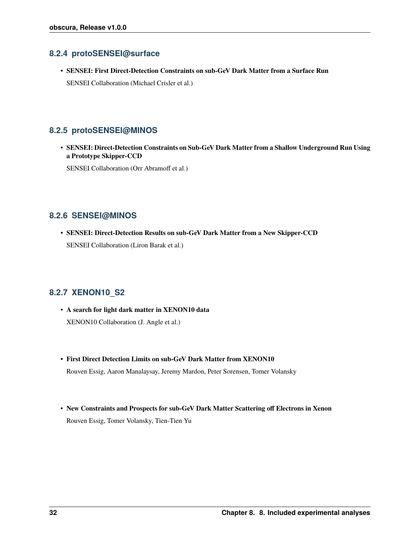#### **8.2.4 protoSENSEI@surface**

• **SENSEI: First Direct-Detection Constraints on sub-GeV Dark Matter from a Surface Run** SENSEI Collaboration (Michael Crisler et al.)

#### **8.2.5 protoSENSEI@MINOS**

• **SENSEI: Direct-Detection Constraints on Sub-GeV Dark Matter from a Shallow Underground Run Using a Prototype Skipper-CCD**

SENSEI Collaboration (Orr Abramoff et al.)

### **8.2.6 SENSEI@MINOS**

• **SENSEI: Direct-Detection Results on sub-GeV Dark Matter from a New Skipper-CCD** SENSEI Collaboration (Liron Barak et al.)

### **8.2.7 XENON10\_S2**

- **A search for light dark matter in XENON10 data** XENON10 Collaboration (J. Angle et al.)
- **First Direct Detection Limits on sub-GeV Dark Matter from XENON10** Rouven Essig, Aaron Manalaysay, Jeremy Mardon, Peter Sorensen, Tomer Volansky
- **New Constraints and Prospects for sub-GeV Dark Matter Scattering off Electrons in Xenon** Rouven Essig, Tomer Volansky, Tien-Tien Yu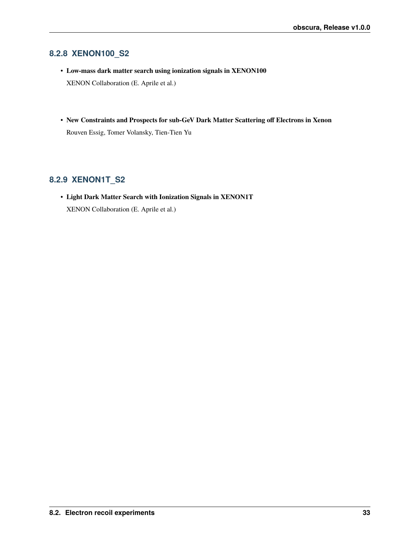#### **8.2.8 XENON100\_S2**

- **Low-mass dark matter search using ionization signals in XENON100** XENON Collaboration (E. Aprile et al.)
- **New Constraints and Prospects for sub-GeV Dark Matter Scattering off Electrons in Xenon** Rouven Essig, Tomer Volansky, Tien-Tien Yu

### **8.2.9 XENON1T\_S2**

• **Light Dark Matter Search with Ionization Signals in XENON1T** XENON Collaboration (E. Aprile et al.)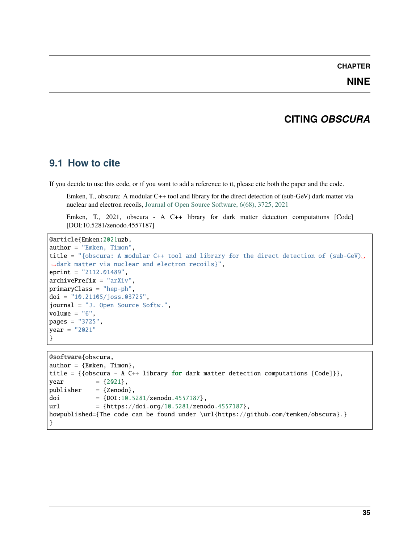### **NINE**

## **CITING** *OBSCURA*

### <span id="page-38-1"></span><span id="page-38-0"></span>**9.1 How to cite**

If you decide to use this code, or if you want to add a reference to it, please cite both the paper and the code.

Emken, T., obscura: A modular C++ tool and library for the direct detection of (sub-GeV) dark matter via nuclear and electron recoils, [Journal of Open Source Software, 6\(68\), 3725, 2021](https://joss.theoj.org/papers/10.21105/joss.03725)

Emken, T., 2021, obscura - A C++ library for dark matter detection computations [Code] [DOI:10.5281/zenodo.4557187]

```
@article{Emken:2021uzb,
author = "Emken, Timon",
title = "{obscura: A modular C++ tool and library for the direct detection of (sub-GeV)␣
˓→dark matter via nuclear and electron recoils}",
eprint = "2112.01489",
archivePrefix = "arXiv",primaryClass = "hep-ph",
doi = "10.21105/joss.03725",
journal = "J. Open Source Softw.",
volume = "6",
pages = "3725",
year = "2021"}
```

```
@software{obscura,
author = {Emken, Timon},
title = {{obscura - A C++ library for dark matter detection computations [Code]}},
year = {2021},publisher = {Zenodo},
doi = {DOI:10.5281/zenodo.4557187},
url = \{https://doi.org/10.5281/zenodo.4557187\},\howpublished={The code can be found under \url{https://github.com/temken/obscura}.}
}
```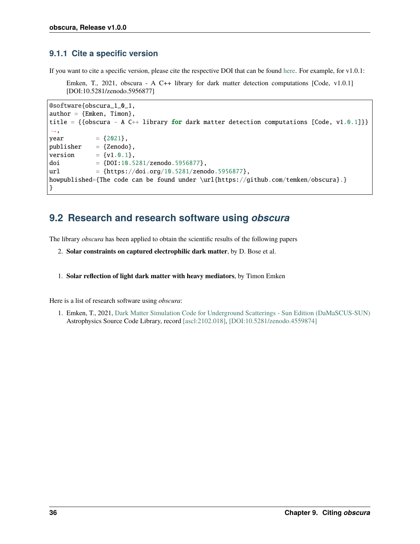### **9.1.1 Cite a specific version**

If you want to cite a specific version, please cite the respective DOI that can be found [here.](https://zenodo.org/record/4557187) For example, for v1.0.1:

Emken, T., 2021, obscura - A C++ library for dark matter detection computations [Code, v1.0.1] [DOI:10.5281/zenodo.5956877]

```
@software{obscura_1_0_1,
author = {Emken, Timon},
title = {{obscura - A C++ library for dark matter detection computations [Code, v1.0.1]}}
\leftrightarrow.
year = {2021},publisher = {Zenodo},
version = \{v1.0.1\},
doi = {DOI:10.5281/zenodo.5956877},
url = \{https://doi.org/10.5281/zenodo.5956877\},\howpublished={The code can be found under \url{https://github.com/temken/obscura}.}
}
```
## <span id="page-39-0"></span>**9.2 Research and research software using** *obscura*

The library *obscura* has been applied to obtain the scientific results of the following papers

- 2. **Solar constraints on captured electrophilic dark matter**, by D. Bose et al.
- 1. **Solar reflection of light dark matter with heavy mediators**, by Timon Emken

Here is a list of research software using *obscura*:

1. Emken, T., 2021, [Dark Matter Simulation Code for Underground Scatterings - Sun Edition \(DaMaSCUS-SUN\)](https://github.com/temken/DaMaSCUS-SUN) Astrophysics Source Code Library, record [\[ascl:2102.018\],](https://ascl.net/2102.018) [\[DOI:10.5281/zenodo.4559874\]](https://zenodo.org/record/4559874)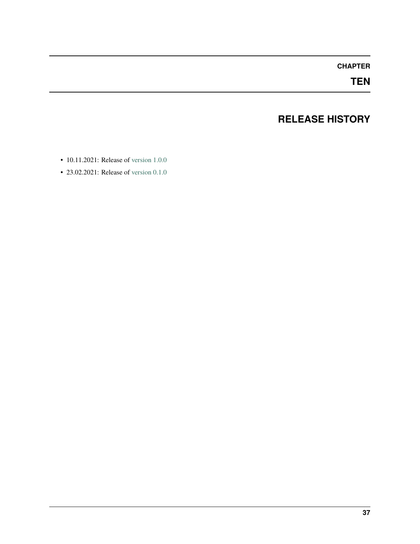## **TEN**

## **RELEASE HISTORY**

- <span id="page-40-0"></span>• 10.11.2021: Release of [version 1.0.0](https://github.com/temken/obscura/releases/tag/v1.0.0)
- 23.02.2021: Release of [version 0.1.0](https://github.com/temken/obscura/releases/tag/v0.1.0)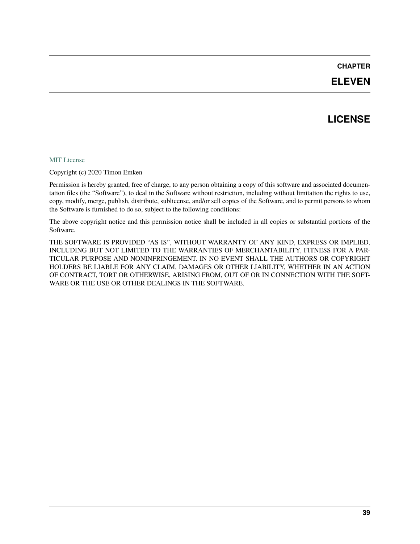### **ELEVEN**

### **LICENSE**

#### <span id="page-42-0"></span>[MIT License](https://opensource.org/licenses/MIT)

Copyright (c) 2020 Timon Emken

Permission is hereby granted, free of charge, to any person obtaining a copy of this software and associated documentation files (the "Software"), to deal in the Software without restriction, including without limitation the rights to use, copy, modify, merge, publish, distribute, sublicense, and/or sell copies of the Software, and to permit persons to whom the Software is furnished to do so, subject to the following conditions:

The above copyright notice and this permission notice shall be included in all copies or substantial portions of the Software.

THE SOFTWARE IS PROVIDED "AS IS", WITHOUT WARRANTY OF ANY KIND, EXPRESS OR IMPLIED, INCLUDING BUT NOT LIMITED TO THE WARRANTIES OF MERCHANTABILITY, FITNESS FOR A PAR-TICULAR PURPOSE AND NONINFRINGEMENT. IN NO EVENT SHALL THE AUTHORS OR COPYRIGHT HOLDERS BE LIABLE FOR ANY CLAIM, DAMAGES OR OTHER LIABILITY, WHETHER IN AN ACTION OF CONTRACT, TORT OR OTHERWISE, ARISING FROM, OUT OF OR IN CONNECTION WITH THE SOFT-WARE OR THE USE OR OTHER DEALINGS IN THE SOFTWARE.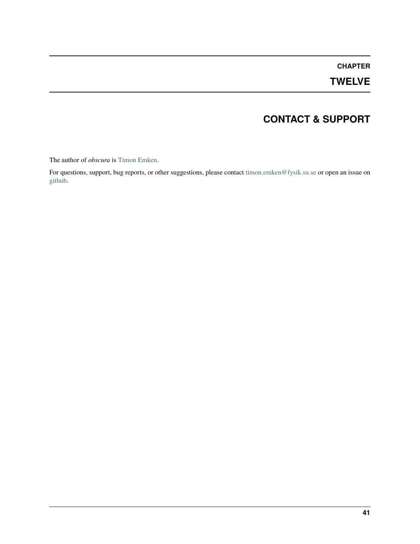## **TWELVE**

## **CONTACT & SUPPORT**

<span id="page-44-0"></span>The author of *obscura* is [Timon Emken.](https://timonemken.com/)

For questions, support, bug reports, or other suggestions, please contact [timon.emken@fysik.su.se](mailto:timon.emken@fysik.su.se) or open an issue on [github.](https://github.com/temken/obscura/issues)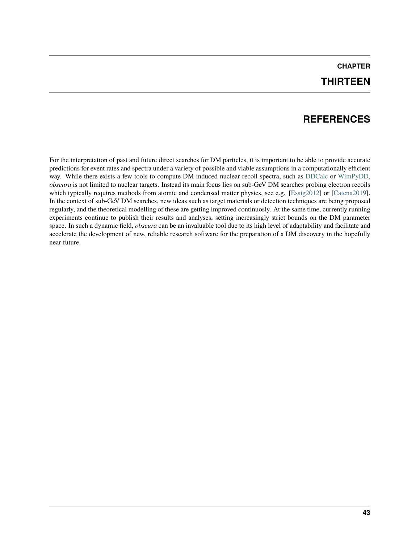## **CHAPTER THIRTEEN**

## **REFERENCES**

<span id="page-46-0"></span>For the interpretation of past and future direct searches for DM particles, it is important to be able to provide accurate predictions for event rates and spectra under a variety of possible and viable assumptions in a computationally efficient way. While there exists a few tools to compute DM induced nuclear recoil spectra, such as [DDCalc](https://ddcalc.hepforge.org/) or [WimPyDD,](https://wimpydd.hepforge.org/) *obscura* is not limited to nuclear targets. Instead its main focus lies on sub-GeV DM searches probing electron recoils which typically requires methods from atomic and condensed matter physics, see e.g. [\[Essig2012\]](#page-48-3) or [\[Catena2019\]](#page-48-6). In the context of sub-GeV DM searches, new ideas such as target materials or detection techniques are being proposed regularly, and the theoretical modelling of these are getting improved continuosly. At the same time, currently running experiments continue to publish their results and analyses, setting increasingly strict bounds on the DM parameter space. In such a dynamic field, *obscura* can be an invaluable tool due to its high level of adaptability and facilitate and accelerate the development of new, reliable research software for the preparation of a DM discovery in the hopefully near future.